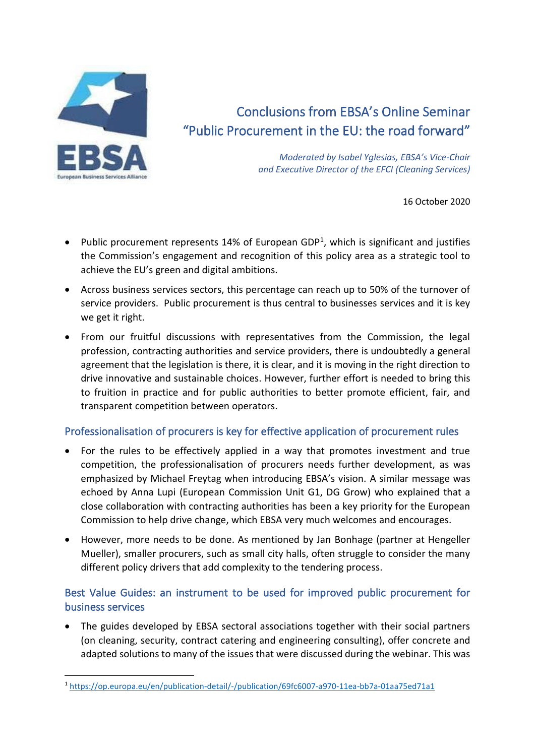

# Conclusions from EBSA's Online Seminar "Public Procurement in the EU: the road forward"

*Moderated by Isabel Yglesias, EBSA's Vice-Chair and Executive Director of the EFCI (Cleaning Services)*

16 October 2020

- Public procurement represents 14% of European GDP<sup>1</sup>, which is significant and justifies the Commission's engagement and recognition of this policy area as a strategic tool to achieve the EU's green and digital ambitions.
- Across business services sectors, this percentage can reach up to 50% of the turnover of service providers. Public procurement is thus central to businesses services and it is key we get it right.
- From our fruitful discussions with representatives from the Commission, the legal profession, contracting authorities and service providers, there is undoubtedly a general agreement that the legislation is there, it is clear, and it is moving in the right direction to drive innovative and sustainable choices. However, further effort is needed to bring this to fruition in practice and for public authorities to better promote efficient, fair, and transparent competition between operators.

## Professionalisation of procurers is key for effective application of procurement rules

- For the rules to be effectively applied in a way that promotes investment and true competition, the professionalisation of procurers needs further development, as was emphasized by Michael Freytag when introducing EBSA's vision. A similar message was echoed by Anna Lupi (European Commission Unit G1, DG Grow) who explained that a close collaboration with contracting authorities has been a key priority for the European Commission to help drive change, which EBSA very much welcomes and encourages.
- However, more needs to be done. As mentioned by Jan Bonhage (partner at Hengeller Mueller), smaller procurers, such as small city halls, often struggle to consider the many different policy drivers that add complexity to the tendering process.

# Best Value Guides: an instrument to be used for improved public procurement for business services

• The guides developed by EBSA sectoral associations together with their social partners (on cleaning, security, contract catering and engineering consulting), offer concrete and adapted solutions to many of the issues that were discussed during the webinar. This was

<sup>1</sup> <https://op.europa.eu/en/publication-detail/-/publication/69fc6007-a970-11ea-bb7a-01aa75ed71a1>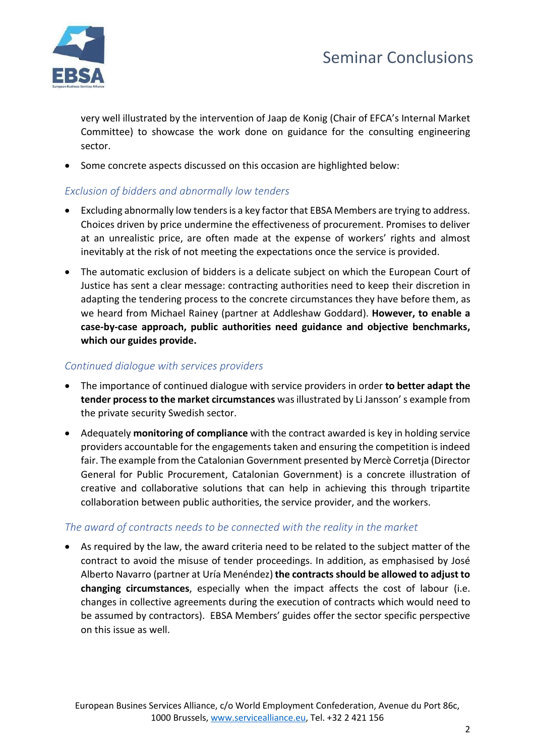



very well illustrated by the intervention of Jaap de Konig (Chair of EFCA's Internal Market Committee) to showcase the work done on guidance for the consulting engineering sector.

• Some concrete aspects discussed on this occasion are highlighted below:

## *Exclusion of bidders and abnormally low tenders*

- Excluding abnormally low tenders is a key factor that EBSA Members are trying to address. Choices driven by price undermine the effectiveness of procurement. Promises to deliver at an unrealistic price, are often made at the expense of workers' rights and almost inevitably at the risk of not meeting the expectations once the service is provided.
- The automatic exclusion of bidders is a delicate subject on which the European Court of Justice has sent a clear message: contracting authorities need to keep their discretion in adapting the tendering process to the concrete circumstances they have before them, as we heard from Michael Rainey (partner at Addleshaw Goddard). **However, to enable a case-by-case approach, public authorities need guidance and objective benchmarks, which our guides provide.**

#### *Continued dialogue with services providers*

- The importance of continued dialogue with service providers in order **to better adapt the tender process to the market circumstances** was illustrated by Li Jansson' s example from the private security Swedish sector.
- Adequately **monitoring of compliance** with the contract awarded is key in holding service providers accountable for the engagements taken and ensuring the competition is indeed fair. The example from the Catalonian Government presented by Mercè Corretja (Director General for Public Procurement, Catalonian Government) is a concrete illustration of creative and collaborative solutions that can help in achieving this through tripartite collaboration between public authorities, the service provider, and the workers.

#### *The award of contracts needs to be connected with the reality in the market*

• As required by the law, the award criteria need to be related to the subject matter of the contract to avoid the misuse of tender proceedings. In addition, as emphasised by José Alberto Navarro (partner at Uría Menéndez) **the contracts should be allowed to adjust to changing circumstances**, especially when the impact affects the cost of labour (i.e. changes in collective agreements during the execution of contracts which would need to be assumed by contractors). EBSA Members' guides offer the sector specific perspective on this issue as well.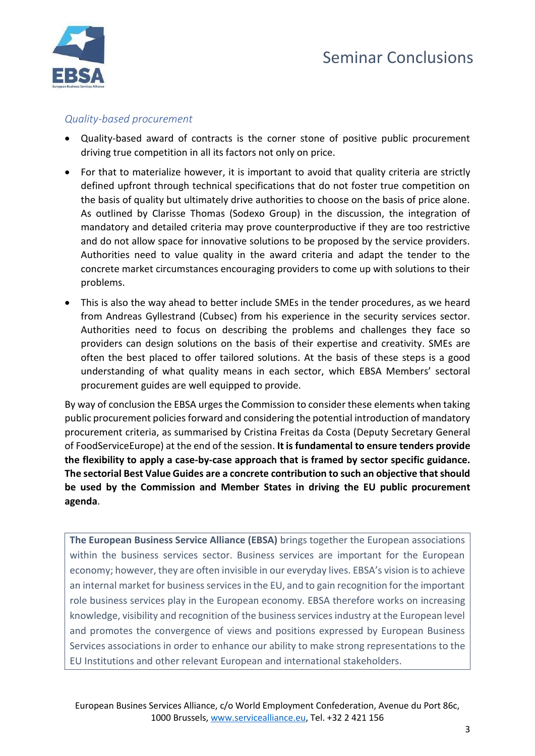

## *Quality-based procurement*

- Quality-based award of contracts is the corner stone of positive public procurement driving true competition in all its factors not only on price.
- For that to materialize however, it is important to avoid that quality criteria are strictly defined upfront through technical specifications that do not foster true competition on the basis of quality but ultimately drive authorities to choose on the basis of price alone. As outlined by Clarisse Thomas (Sodexo Group) in the discussion, the integration of mandatory and detailed criteria may prove counterproductive if they are too restrictive and do not allow space for innovative solutions to be proposed by the service providers. Authorities need to value quality in the award criteria and adapt the tender to the concrete market circumstances encouraging providers to come up with solutions to their problems.
- This is also the way ahead to better include SMEs in the tender procedures, as we heard from Andreas Gyllestrand (Cubsec) from his experience in the security services sector. Authorities need to focus on describing the problems and challenges they face so providers can design solutions on the basis of their expertise and creativity. SMEs are often the best placed to offer tailored solutions. At the basis of these steps is a good understanding of what quality means in each sector, which EBSA Members' sectoral procurement guides are well equipped to provide.

By way of conclusion the EBSA urges the Commission to consider these elements when taking public procurement policies forward and considering the potential introduction of mandatory procurement criteria, as summarised by Cristina Freitas da Costa (Deputy Secretary General of FoodServiceEurope) at the end of the session. **It is fundamental to ensure tenders provide the flexibility to apply a case-by-case approach that is framed by sector specific guidance. The sectorial Best Value Guides are a concrete contribution to such an objective that should be used by the Commission and Member States in driving the EU public procurement agenda**.

**The European Business Service Alliance (EBSA)** brings together the European associations within the business services sector. Business services are important for the European economy; however, they are often invisible in our everyday lives. EBSA's vision is to achieve an internal market for business services in the EU, and to gain recognition for the important role business services play in the European economy. EBSA therefore works on increasing knowledge, visibility and recognition of the business services industry at the European level and promotes the convergence of views and positions expressed by European Business Services associations in order to enhance our ability to make strong representations to the EU Institutions and other relevant European and international stakeholders.